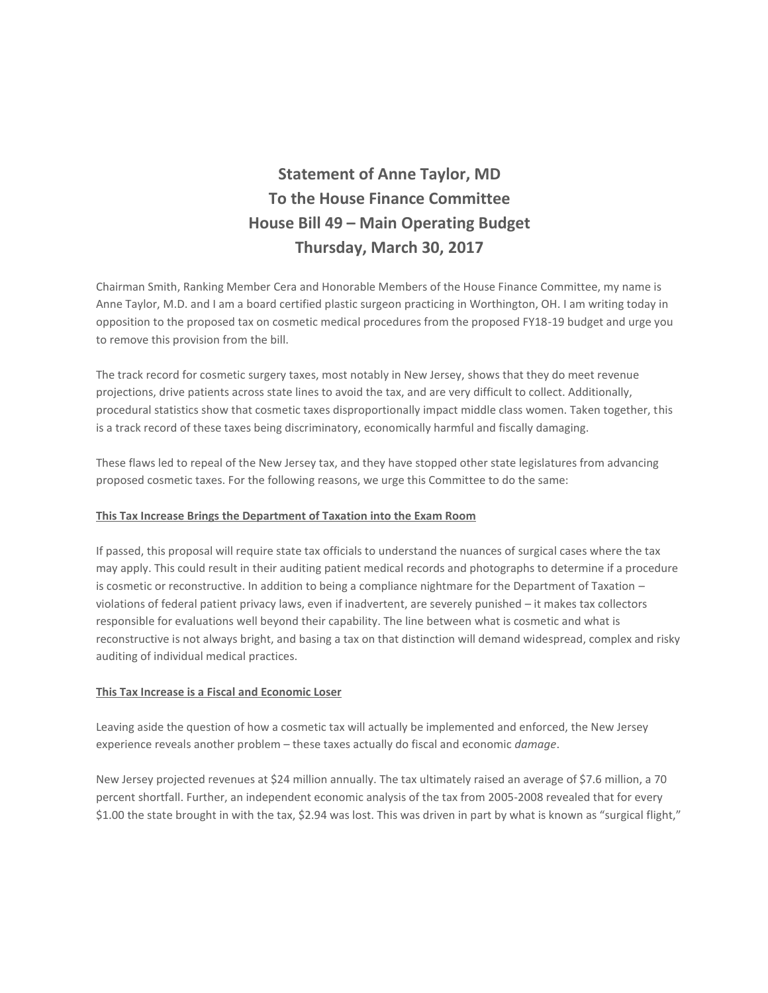# **Statement of Anne Taylor, MD To the House Finance Committee House Bill 49 – Main Operating Budget Thursday, March 30, 2017**

Chairman Smith, Ranking Member Cera and Honorable Members of the House Finance Committee, my name is Anne Taylor, M.D. and I am a board certified plastic surgeon practicing in Worthington, OH. I am writing today in opposition to the proposed tax on cosmetic medical procedures from the proposed FY18-19 budget and urge you to remove this provision from the bill.

The track record for cosmetic surgery taxes, most notably in New Jersey, shows that they do meet revenue projections, drive patients across state lines to avoid the tax, and are very difficult to collect. Additionally, procedural statistics show that cosmetic taxes disproportionally impact middle class women. Taken together, this is a track record of these taxes being discriminatory, economically harmful and fiscally damaging.

These flaws led to repeal of the New Jersey tax, and they have stopped other state legislatures from advancing proposed cosmetic taxes. For the following reasons, we urge this Committee to do the same:

## **This Tax Increase Brings the Department of Taxation into the Exam Room**

If passed, this proposal will require state tax officials to understand the nuances of surgical cases where the tax may apply. This could result in their auditing patient medical records and photographs to determine if a procedure is cosmetic or reconstructive. In addition to being a compliance nightmare for the Department of Taxation – violations of federal patient privacy laws, even if inadvertent, are severely punished – it makes tax collectors responsible for evaluations well beyond their capability. The line between what is cosmetic and what is reconstructive is not always bright, and basing a tax on that distinction will demand widespread, complex and risky auditing of individual medical practices.

#### **This Tax Increase is a Fiscal and Economic Loser**

Leaving aside the question of how a cosmetic tax will actually be implemented and enforced, the New Jersey experience reveals another problem – these taxes actually do fiscal and economic *damage*.

New Jersey projected revenues at \$24 million annually. The tax ultimately raised an average of \$7.6 million, a 70 percent shortfall. Further, an independent economic analysis of the tax from 2005-2008 revealed that for every \$1.00 the state brought in with the tax, \$2.94 was lost. This was driven in part by what is known as "surgical flight,"